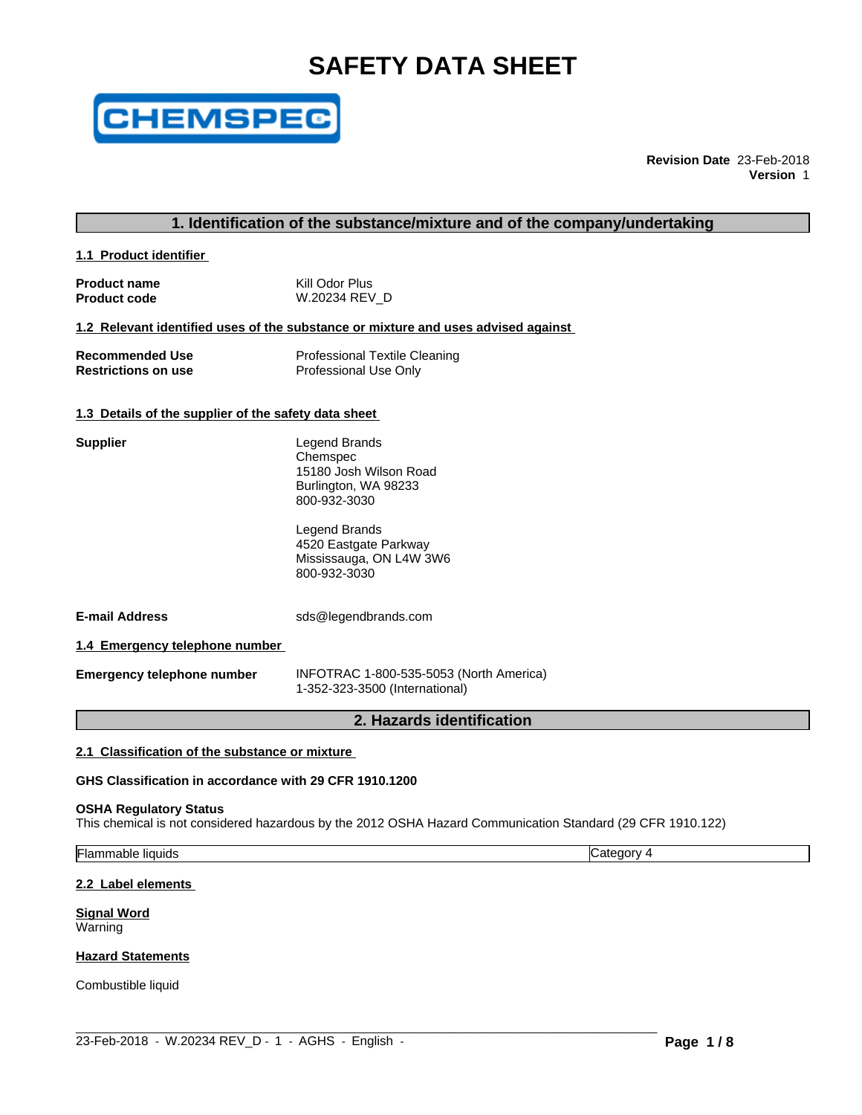# **SAFETY DATA SHEET**



**Revision Date** 23-Feb-2018 **Version** 1

# **1. Identification of the substance/mixture and of the company/undertaking**

**1.1 Product identifier** 

| <b>Product name</b> | Kill Odor Plus |
|---------------------|----------------|
| <b>Product code</b> | W.20234 REV D  |

#### **1.2 Relevant identified uses of the substance or mixture and uses advised against**

| <b>Recommended Use</b>     | <b>Professional Textile Cleaning</b> |
|----------------------------|--------------------------------------|
| <b>Restrictions on use</b> | Professional Use Only                |

#### **1.3 Details of the supplier of the safety data sheet**

| <b>Supplier</b>       | Legend Brands<br>Chemspec<br>15180 Josh Wilson Road<br>Burlington, WA 98233<br>800-932-3030 |  |
|-----------------------|---------------------------------------------------------------------------------------------|--|
|                       | Legend Brands<br>4520 Eastgate Parkway<br>Mississauga, ON L4W 3W6<br>800-932-3030           |  |
| <b>E-mail Address</b> | sds@legendbrands.com                                                                        |  |

**1.4 Emergency telephone number**

**Emergency telephone number** INFOTRAC 1-800-535-5053 (North America) 1-352-323-3500 (International)

# **2. Hazards identification**

# **2.1 Classification of the substance or mixture**

**GHS Classification in accordance with 29 CFR 1910.1200**

#### **OSHA Regulatory Status**

This chemical is not considered hazardous by the 2012 OSHA Hazard Communication Standard (29 CFR 1910.122)

 $\_$  ,  $\_$  ,  $\_$  ,  $\_$  ,  $\_$  ,  $\_$  ,  $\_$  ,  $\_$  ,  $\_$  ,  $\_$  ,  $\_$  ,  $\_$  ,  $\_$  ,  $\_$  ,  $\_$  ,  $\_$  ,  $\_$  ,  $\_$  ,  $\_$  ,  $\_$  ,  $\_$  ,  $\_$  ,  $\_$  ,  $\_$  ,  $\_$  ,  $\_$  ,  $\_$  ,  $\_$  ,  $\_$  ,  $\_$  ,  $\_$  ,  $\_$  ,  $\_$  ,  $\_$  ,  $\_$  ,  $\_$  ,  $\_$  ,

Flammable liquids Category 4

#### **2.2 Label elements**

**Signal Word** Warning

#### **Hazard Statements**

Combustible liquid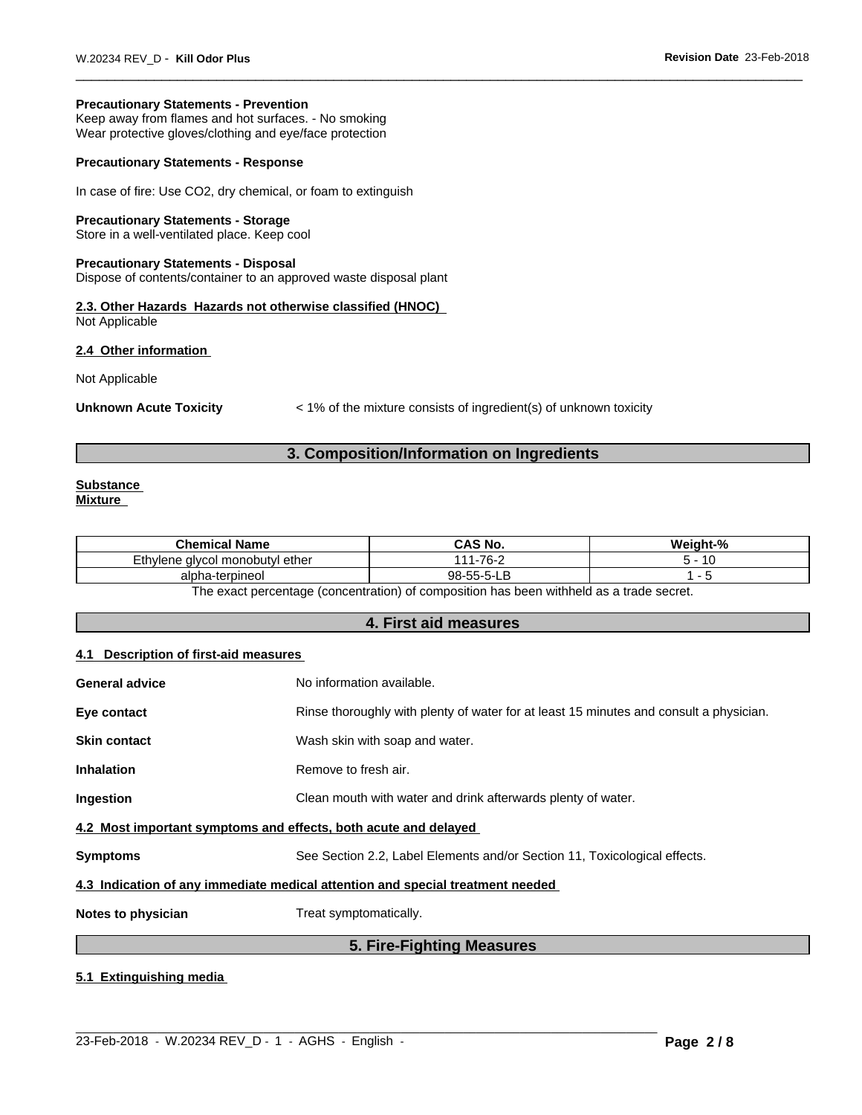#### **Precautionary Statements - Prevention**

Keep away from flames and hot surfaces. - No smoking Wear protective gloves/clothing and eye/face protection

### **Precautionary Statements - Response**

In case of fire: Use CO2, dry chemical, or foam to extinguish

#### **Precautionary Statements - Storage**

Store in a well-ventilated place. Keep cool

#### **Precautionary Statements - Disposal**

Dispose of contents/container to an approved waste disposal plant

**2.3. Other Hazards Hazards not otherwise classified (HNOC)** Not Applicable

#### **2.4 Other information**

Not Applicable

**Unknown Acute Toxicity**  $\leq 1\%$  of the mixture consists of ingredient(s) of unknown toxicity

# **3. Composition/Information on Ingredients**

#### **Substance Mixture**

| .<br>Chemical<br>Name                                   | <b>CAS No.</b>          | $\mathbf{a}$<br>.<br>Weiaht.<br>70 |
|---------------------------------------------------------|-------------------------|------------------------------------|
| vcol monobutyl ether<br>−⊥∟<br>/lene<br>o١١<br>'' ایا ک | 1-76-2<br>I <i>A A</i>  | ∽<br>. .                           |
| -terpineol<br>alpha<br>ווי                              | $98 - 55 - 5 - 1$<br>-- |                                    |

The exact percentage (concentration) of composition has been withheld as a trade secret.

### **4. First aid measures**

#### **4.1 Description of first-aid measures**

| <b>General advice</b>                                           | No information available.                                                              |
|-----------------------------------------------------------------|----------------------------------------------------------------------------------------|
| Eye contact                                                     | Rinse thoroughly with plenty of water for at least 15 minutes and consult a physician. |
| <b>Skin contact</b>                                             | Wash skin with soap and water.                                                         |
| <b>Inhalation</b>                                               | Remove to fresh air.                                                                   |
| Ingestion                                                       | Clean mouth with water and drink afterwards plenty of water.                           |
| 4.2 Most important symptoms and effects, both acute and delayed |                                                                                        |
| <b>Symptoms</b>                                                 | See Section 2.2, Label Elements and/or Section 11, Toxicological effects.              |
|                                                                 | 4.3 Indication of any immediate medical attention and special treatment needed         |
| Notes to physician                                              | Treat symptomatically.                                                                 |
|                                                                 | 5. Fire-Fighting Measures                                                              |

 $\_$  ,  $\_$  ,  $\_$  ,  $\_$  ,  $\_$  ,  $\_$  ,  $\_$  ,  $\_$  ,  $\_$  ,  $\_$  ,  $\_$  ,  $\_$  ,  $\_$  ,  $\_$  ,  $\_$  ,  $\_$  ,  $\_$  ,  $\_$  ,  $\_$  ,  $\_$  ,  $\_$  ,  $\_$  ,  $\_$  ,  $\_$  ,  $\_$  ,  $\_$  ,  $\_$  ,  $\_$  ,  $\_$  ,  $\_$  ,  $\_$  ,  $\_$  ,  $\_$  ,  $\_$  ,  $\_$  ,  $\_$  ,  $\_$  ,

# **5.1 Extinguishing media**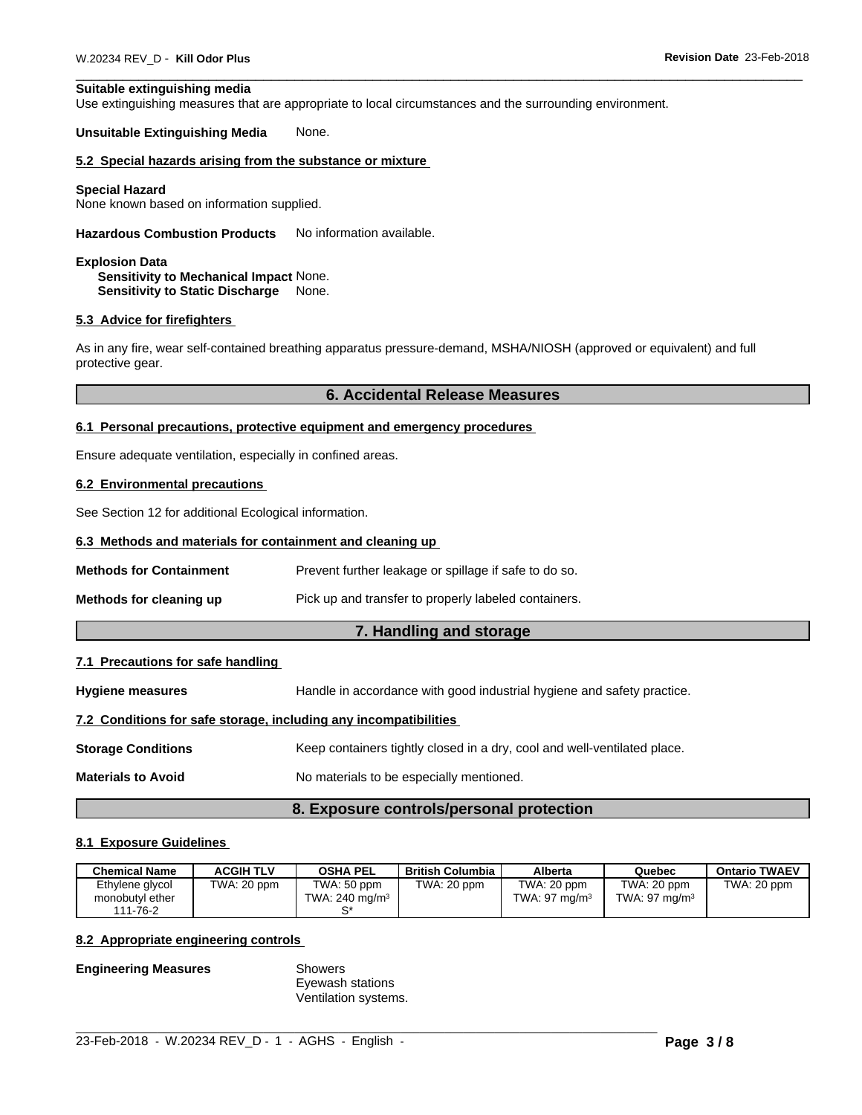#### **Suitable extinguishing media**

Use extinguishing measures that are appropriate to local circumstances and the surrounding environment.

#### **Unsuitable Extinguishing Media** None.

#### **5.2 Special hazards arising from the substance or mixture**

#### **Special Hazard**

None known based on information supplied.

**Hazardous Combustion Products** No information available.

#### **Explosion Data Sensitivity to Mechanical Impact** None. **Sensitivity to Static Discharge** None.

#### **5.3 Advice for firefighters**

As in any fire, wear self-contained breathing apparatus pressure-demand, MSHA/NIOSH (approved or equivalent) and full protective gear.

# **6. Accidental Release Measures**

#### **6.1 Personal precautions, protective equipment and emergency procedures**

Ensure adequate ventilation, especially in confined areas.

#### **6.2 Environmental precautions**

See Section 12 for additional Ecological information.

#### **6.3 Methods and materials for containment and cleaning up**

**Methods for Containment** Prevent further leakage or spillage if safe to do so.

| Methods for cleaning up | Pick up and transfer to properly labeled containers. |
|-------------------------|------------------------------------------------------|

### **7. Handling and storage**

#### **7.1 Precautions for safe handling**

**Hygiene measures** Handle in accordance with good industrial hygiene and safety practice.

# **7.2 Conditions for safe storage, including any incompatibilities**

**Storage Conditions** Keep containers tightly closed in a dry, cool and well-ventilated place.

**Materials to Avoid** No materials to be especially mentioned.

#### **8. Exposure controls/personal protection**

#### **8.1 Exposure Guidelines**

| <b>Chemical Name</b>                           | ACGIH TLV   | <b>OSHA PEL</b>                  | <b>British Columbia</b> | Alberta                        | Quebec                          | <b>Ontario TWAEV</b> |
|------------------------------------------------|-------------|----------------------------------|-------------------------|--------------------------------|---------------------------------|----------------------|
| Ethylene glycol<br>monobutyl ether<br>111-76-2 | TWA: 20 ppm | TWA: 50 ppm<br>TWA: 240 mg/m $3$ | TWA: 20 ppm             | TWA: 20 ppm<br>TWA: 97 $ma/m3$ | TWA: 20 ppm<br>TWA: 97 mg/m $3$ | TWA: 20 ppm          |

 $\_$  ,  $\_$  ,  $\_$  ,  $\_$  ,  $\_$  ,  $\_$  ,  $\_$  ,  $\_$  ,  $\_$  ,  $\_$  ,  $\_$  ,  $\_$  ,  $\_$  ,  $\_$  ,  $\_$  ,  $\_$  ,  $\_$  ,  $\_$  ,  $\_$  ,  $\_$  ,  $\_$  ,  $\_$  ,  $\_$  ,  $\_$  ,  $\_$  ,  $\_$  ,  $\_$  ,  $\_$  ,  $\_$  ,  $\_$  ,  $\_$  ,  $\_$  ,  $\_$  ,  $\_$  ,  $\_$  ,  $\_$  ,  $\_$  ,

# **8.2 Appropriate engineering controls**

**Engineering Measures** Showers

Eyewash stations Ventilation systems.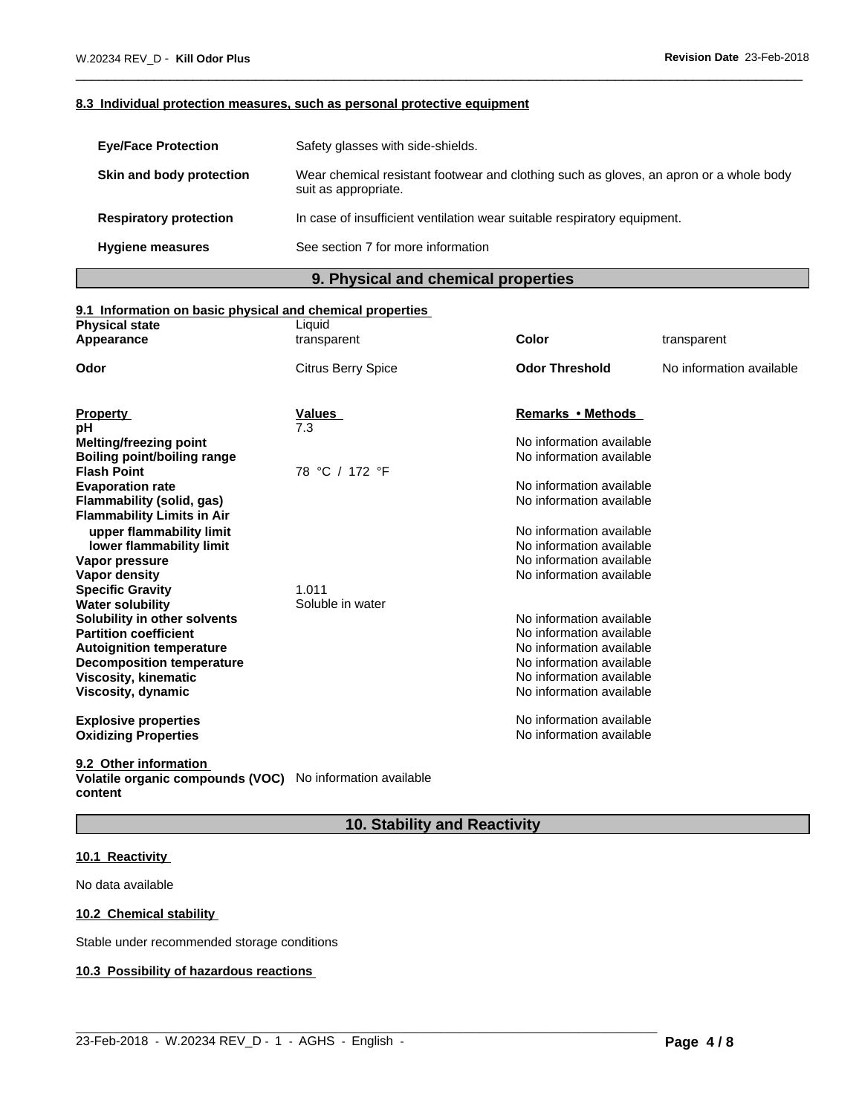# **8.3 Individual protection measures, such as personal protective equipment**

| <b>Eye/Face Protection</b>    | Safety glasses with side-shields.                                                                              |
|-------------------------------|----------------------------------------------------------------------------------------------------------------|
| Skin and body protection      | Wear chemical resistant footwear and clothing such as gloves, an apron or a whole body<br>suit as appropriate. |
| <b>Respiratory protection</b> | In case of insufficient ventilation wear suitable respiratory equipment.                                       |
| <b>Hygiene measures</b>       | See section 7 for more information                                                                             |

# **9. Physical and chemical properties**

# **9.1 Information on basic physical and chemical properties**

| <b>Physical state</b><br>Liquid                                                          |  |
|------------------------------------------------------------------------------------------|--|
| Color<br>transparent<br>transparent<br>Appearance                                        |  |
| <b>Odor Threshold</b><br><b>Citrus Berry Spice</b><br>No information available<br>Odor   |  |
| <b>Remarks • Methods</b><br><b>Values</b>                                                |  |
| <b>Property</b><br>7.3<br>рH                                                             |  |
| No information available<br>Melting/freezing point                                       |  |
| No information available<br><b>Boiling point/boiling range</b>                           |  |
| 78 °C / 172 °F<br><b>Flash Point</b>                                                     |  |
| No information available<br><b>Evaporation rate</b>                                      |  |
| No information available<br>Flammability (solid, gas)                                    |  |
| <b>Flammability Limits in Air</b>                                                        |  |
| upper flammability limit<br>No information available                                     |  |
| No information available<br>lower flammability limit                                     |  |
| No information available<br>Vapor pressure                                               |  |
| No information available<br>Vapor density                                                |  |
| 1.011<br><b>Specific Gravity</b>                                                         |  |
| Soluble in water<br><b>Water solubility</b><br>No information available                  |  |
| Solubility in other solvents<br>No information available<br><b>Partition coefficient</b> |  |
| No information available<br><b>Autoignition temperature</b>                              |  |
| No information available<br><b>Decomposition temperature</b>                             |  |
| No information available<br>Viscosity, kinematic                                         |  |
| No information available<br>Viscosity, dynamic                                           |  |
|                                                                                          |  |
| No information available<br><b>Explosive properties</b>                                  |  |
| No information available<br><b>Oxidizing Properties</b>                                  |  |
|                                                                                          |  |

**9.2 Other information** 

**Volatile organic compounds (VOC)** No information available **content**

# **10. Stability and Reactivity**

 $\_$  ,  $\_$  ,  $\_$  ,  $\_$  ,  $\_$  ,  $\_$  ,  $\_$  ,  $\_$  ,  $\_$  ,  $\_$  ,  $\_$  ,  $\_$  ,  $\_$  ,  $\_$  ,  $\_$  ,  $\_$  ,  $\_$  ,  $\_$  ,  $\_$  ,  $\_$  ,  $\_$  ,  $\_$  ,  $\_$  ,  $\_$  ,  $\_$  ,  $\_$  ,  $\_$  ,  $\_$  ,  $\_$  ,  $\_$  ,  $\_$  ,  $\_$  ,  $\_$  ,  $\_$  ,  $\_$  ,  $\_$  ,  $\_$  ,

# **10.1 Reactivity**

No data available

# **10.2 Chemical stability**

Stable under recommended storage conditions

# **10.3 Possibility of hazardous reactions**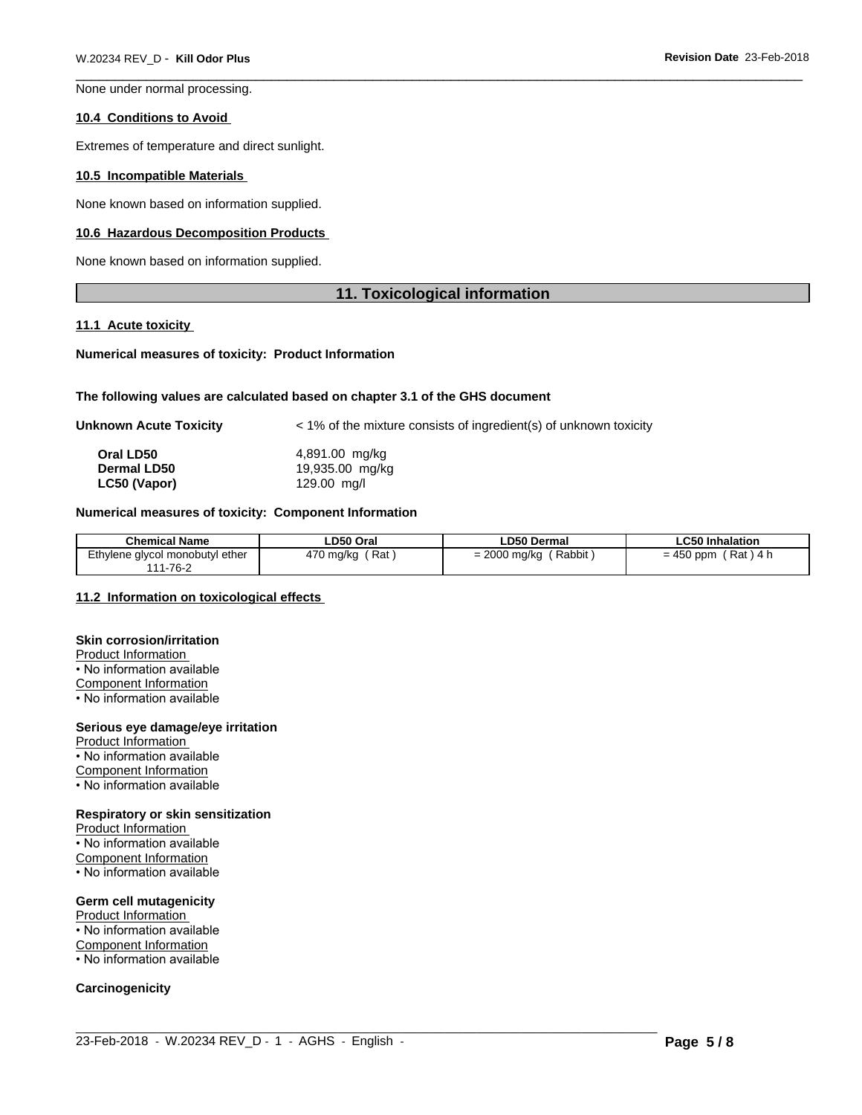None under normal processing.

#### **10.4 Conditions to Avoid**

Extremes of temperature and direct sunlight.

#### **10.5 Incompatible Materials**

None known based on information supplied.

#### **10.6 Hazardous Decomposition Products**

None known based on information supplied.

# **11. Toxicological information**

#### **11.1 Acute toxicity**

#### **Numerical measures of toxicity: Product Information**

#### **The following values are calculated based on chapter 3.1 of the GHS document**

| Unknown Acute Toxicity | $\leq$ 1% of the mixture consists of ingredient(s) of unknown toxicity |
|------------------------|------------------------------------------------------------------------|
| Oral LD50              | 4,891.00 mg/kg                                                         |
| <b>Dermal LD50</b>     | 19,935.00 mg/kg                                                        |
| LC50 (Vapor)           | 129.00 mg/l                                                            |

### **Numerical measures of toxicity: Component Information**

| <b>Chemical Name</b>                                                                                                                                                                               | ∟D50 Oral        | ∟D50 Dermal                        | ∟C50 I <sup>,</sup><br>Inhalation      |
|----------------------------------------------------------------------------------------------------------------------------------------------------------------------------------------------------|------------------|------------------------------------|----------------------------------------|
| Ethylene glycol monobutyl ether<br>. .<br>$.1 - 76 - ?$<br>$\begin{array}{c} \n \stackrel{\frown}{\phantom{} } \n \stackrel{\frown}{\phantom{} } \n \stackrel{\frown}{\phantom{} } \n \end{array}$ | Rat<br>،70 mg/kg | Rabbit<br>$\sim$<br>$= 2000$ mg/kg | Rat<br>450 ppm<br>$\frac{1}{4}$<br>- - |

 $\_$  ,  $\_$  ,  $\_$  ,  $\_$  ,  $\_$  ,  $\_$  ,  $\_$  ,  $\_$  ,  $\_$  ,  $\_$  ,  $\_$  ,  $\_$  ,  $\_$  ,  $\_$  ,  $\_$  ,  $\_$  ,  $\_$  ,  $\_$  ,  $\_$  ,  $\_$  ,  $\_$  ,  $\_$  ,  $\_$  ,  $\_$  ,  $\_$  ,  $\_$  ,  $\_$  ,  $\_$  ,  $\_$  ,  $\_$  ,  $\_$  ,  $\_$  ,  $\_$  ,  $\_$  ,  $\_$  ,  $\_$  ,  $\_$  ,

### **11.2 Information on toxicologicaleffects**

#### **Skin corrosion/irritation**

Product Information • No information available Component Information • No information available

#### **Serious eye damage/eye irritation**

- Product Information • No information available Component Information
- No information available

# **Respiratory or skin sensitization**

Product Information • No information available

Component Information

• No information available

### **Germ cell mutagenicity**

Product Information • No information available **Component Information** 

• No information available

### **Carcinogenicity**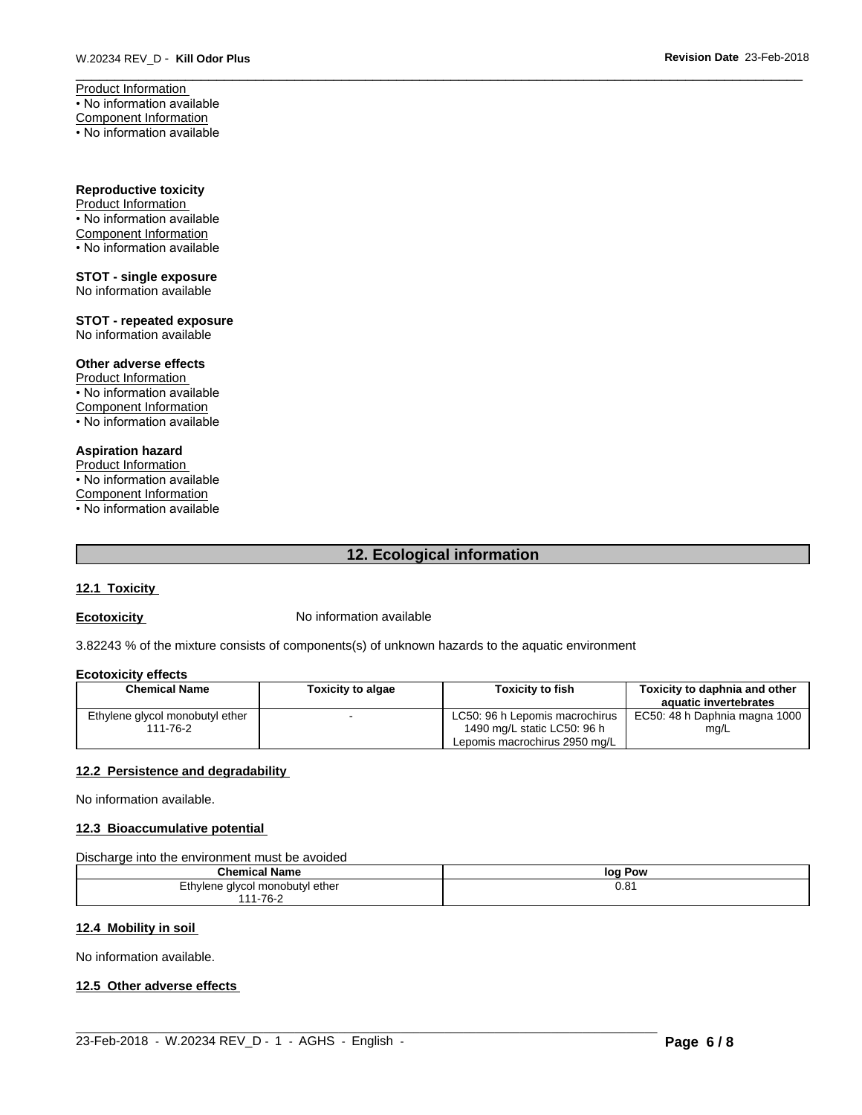Product Information • No information available Component Information • No information available

**Reproductive toxicity**

Product Information • No information available Component Information • No information available

**STOT - single exposure** No information available

**STOT - repeated exposure** No information available

#### **Other adverse effects**

Product Information • No information available Component Information • No information available

# **Aspiration hazard**

Product Information • No information available Component Information • No information available

# **12. Ecological information**

# **12.1 Toxicity**

**Ecotoxicity No information available** 

3.82243 % of the mixture consists of components(s) of unknown hazards to the aquatic environment

### **Ecotoxicity effects**

| <b>Chemical Name</b>            | <b>Toxicity to algae</b> | Toxicitv to fish               | <b>Toxicity to daphnia and other</b> |
|---------------------------------|--------------------------|--------------------------------|--------------------------------------|
|                                 |                          |                                | aquatic invertebrates                |
| Ethylene glycol monobutyl ether |                          | LC50: 96 h Lepomis macrochirus | EC50: 48 h Daphnia magna 1000        |
| 111-76-2                        |                          | 1490 mg/L static LC50: 96 h    | mg/L                                 |
|                                 |                          | Lepomis macrochirus 2950 mg/L  |                                      |

### **12.2 Persistence and degradability**

No information available.

### **12.3 Bioaccumulative potential**

Discharge into the environment must be avoided

| <b>Chemical Name</b>                 | Pow<br>loa         |
|--------------------------------------|--------------------|
| Ethylene glycol monobutyl ether<br>. | $\sqrt{21}$<br>U.O |
| -76-2<br>.                           |                    |

 $\_$  ,  $\_$  ,  $\_$  ,  $\_$  ,  $\_$  ,  $\_$  ,  $\_$  ,  $\_$  ,  $\_$  ,  $\_$  ,  $\_$  ,  $\_$  ,  $\_$  ,  $\_$  ,  $\_$  ,  $\_$  ,  $\_$  ,  $\_$  ,  $\_$  ,  $\_$  ,  $\_$  ,  $\_$  ,  $\_$  ,  $\_$  ,  $\_$  ,  $\_$  ,  $\_$  ,  $\_$  ,  $\_$  ,  $\_$  ,  $\_$  ,  $\_$  ,  $\_$  ,  $\_$  ,  $\_$  ,  $\_$  ,  $\_$  ,

# **12.4 Mobility in soil**

No information available.

# **12.5 Other adverse effects**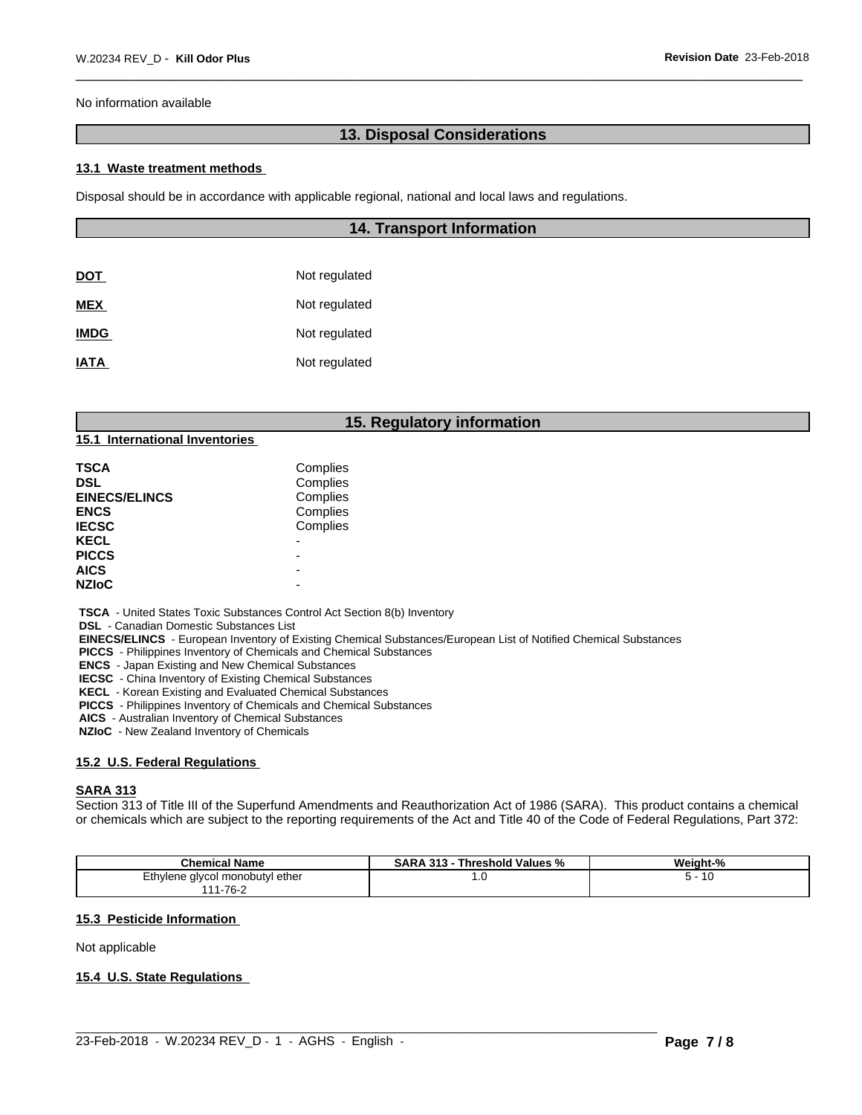No information available

# **13. Disposal Considerations**

#### **13.1 Waste treatment methods**

Disposal should be in accordance with applicable regional, national and local laws and regulations.

| <b>14. Transport Information</b> |
|----------------------------------|
|                                  |
| Not regulated                    |
| Not regulated                    |
| Not regulated                    |
| Not regulated                    |
|                                  |

# **15. Regulatory information**

**15.1 International Inventories**

| TSCA                 | Complies |  |
|----------------------|----------|--|
| DSL                  | Complies |  |
| <b>EINECS/ELINCS</b> | Complies |  |
| <b>ENCS</b>          | Complies |  |
| <b>IECSC</b>         | Complies |  |
| <b>KECL</b>          | -        |  |
| <b>PICCS</b>         | -        |  |
| <b>AICS</b>          | -        |  |
| <b>NZIoC</b>         |          |  |
|                      |          |  |

 **TSCA** - United States Toxic Substances Control Act Section 8(b) Inventory

 **DSL** - Canadian Domestic Substances List

 **EINECS/ELINCS** - European Inventory of Existing Chemical Substances/European List of Notified Chemical Substances

 **PICCS** - Philippines Inventory of Chemicals and Chemical Substances

 **ENCS** - Japan Existing and New Chemical Substances

 **IECSC** - China Inventory of Existing Chemical Substances

 **KECL** - Korean Existing and Evaluated Chemical Substances

 **PICCS** - Philippines Inventory of Chemicals and Chemical Substances

 **AICS** - Australian Inventory of Chemical Substances

 **NZIoC** - New Zealand Inventory of Chemicals

#### **15.2 U.S. Federal Regulations**

#### **SARA 313**

Section 313 of Title III of the Superfund Amendments and Reauthorization Act of 1986 (SARA). This product contains a chemical or chemicals which are subject to the reporting requirements of the Act and Title 40 of the Code of Federal Regulations, Part 372:

| Chemical<br>' Name                   | <b>SARA</b><br>313<br><b>Threshold Values</b><br>"∕o | Weight-%         |
|--------------------------------------|------------------------------------------------------|------------------|
| , alvcol monobutvl ether<br>Ethvlene | 1.U                                                  | - 162<br>$\cdot$ |
| 7C<br>ـ∠-10′ - ا                     |                                                      |                  |

 $\_$  ,  $\_$  ,  $\_$  ,  $\_$  ,  $\_$  ,  $\_$  ,  $\_$  ,  $\_$  ,  $\_$  ,  $\_$  ,  $\_$  ,  $\_$  ,  $\_$  ,  $\_$  ,  $\_$  ,  $\_$  ,  $\_$  ,  $\_$  ,  $\_$  ,  $\_$  ,  $\_$  ,  $\_$  ,  $\_$  ,  $\_$  ,  $\_$  ,  $\_$  ,  $\_$  ,  $\_$  ,  $\_$  ,  $\_$  ,  $\_$  ,  $\_$  ,  $\_$  ,  $\_$  ,  $\_$  ,  $\_$  ,  $\_$  ,

#### **15.3 Pesticide Information**

Not applicable

#### **15.4 U.S. State Regulations**